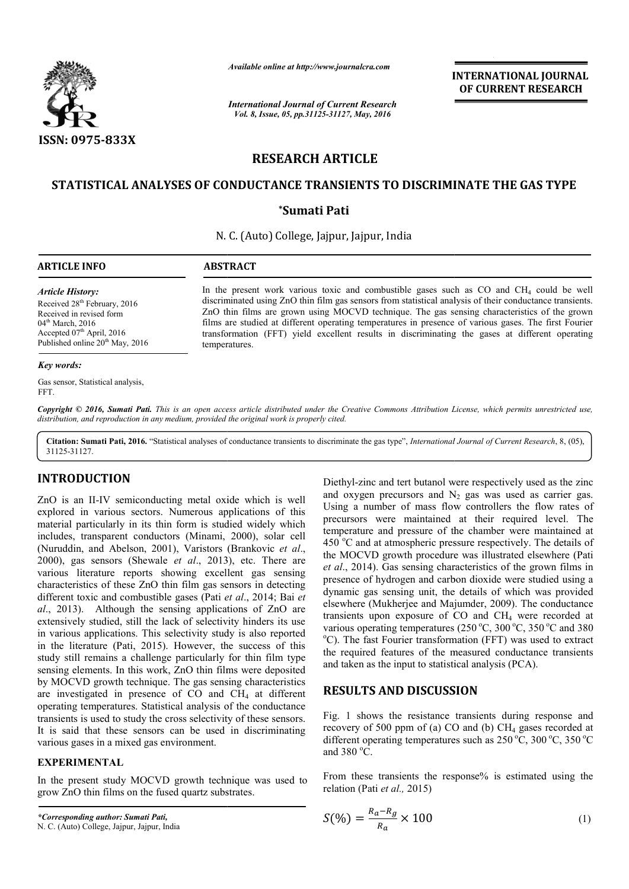

*Available online at http://www.journalcra.com*

*International Journal of Current Research Vol. 8, Issue, 05, pp.31125-31127, May, 2016*

**INTERNATIONAL JOURNAL OF CURRENT RESEARCH** 

# **RESEARCH ARTICLE**

## **STATISTICAL ANALYSES OF CONDUCTANCE TRANSIENTS TO DISCRIMINATE THE GAS TYPE STATISTICAL ANALYSES GAS TYPE**

### **\*Sumati Pati**

N. C. (Auto) College, Jajpur, Jajpur, India

| <b>ARTICLE INFO</b>                                                                                                   | <b>ABSTRACT</b>                                                                                                                                                                                                                                                                                                                                                                                                   |
|-----------------------------------------------------------------------------------------------------------------------|-------------------------------------------------------------------------------------------------------------------------------------------------------------------------------------------------------------------------------------------------------------------------------------------------------------------------------------------------------------------------------------------------------------------|
| <b>Article History:</b><br>Received 28 <sup>th</sup> February, 2016<br>Received in revised form<br>$04th$ March, 2016 | In the present work various toxic and combustible gases such as $CO$ and $CH4$ could be well<br>discriminated using ZnO thin film gas sensors from statistical analysis of their conductance transients.<br>ZnO thin films are grown using MOCVD technique. The gas sensing characteristics of the grown<br>films are studied at different operating temperatures in presence of various gases. The first Fourier |
| Accepted $07th$ April, 2016                                                                                           | transformation (FFT) yield excellent results in discriminating the gases at different operating                                                                                                                                                                                                                                                                                                                   |

temperatures.

*Key words:*

Gas sensor, Statistical analysis, FFT.

Accepted 07<sup>th</sup> April, 2016 Published online 20<sup>th</sup> May, 2016

Copyright © 2016, Sumati Pati. This is an open access article distributed under the Creative Commons Attribution License, which permits unrestricted use, *distribution, and reproduction in any medium, provided the original work is properly cited.*

Citation: Sumati Pati, 2016. "Statistical analyses of conductance transients to discriminate the gas type", *International Journal of Current Research*, 8, (05), 31125-31127.

### **INTRODUCTION**

ZnO is an II-IV semiconducting metal oxide which is well explored in various sectors. Numerous applications of this material particularly in its thin form is studied widely which includes, transparent conductors (Minami, 2000), solar cell (Nuruddin, and Abelson, 2001), Varistors (Brankovic *et al*., 2000), gas sensors (Shewale *et al*., 2013 2013), etc. There are various literature reports showing excellent gas sensing characteristics of these ZnO thin film gas sensors in detecting different toxic and combustible gases (Pati *et al* ., 2014; Bai *et al*., 2013). Although the sensing applications of ZnO are extensively studied, still the lack of selectivity hinders its use in various applications. This selectivity study is also reported in the literature (Pati, 2015). However, the success of this study still remains a challenge particularly for thin film type sensing elements. In this work, ZnO thin films were deposited by MOCVD growth technique. The gas sensing characteristics are investigated in presence of  $CO$  and  $CH<sub>4</sub>$  at different operating temperatures. Statistical analysis of the conductance transients is used to study the cross selectivity of these sensors. It is said that these sensors can be used in discriminating various gases in a mixed gas environment. IV semiconducting metal oxide which is well<br>arious sectors. Numerous applications of this<br>ularly in its thin form is studied widely which<br>sparent conductors (Minami, 2000), solar cell

#### **EXPERIMENTAL**

In the present study MOCVD growth technique was used to grow ZnO thin films on the fused quartz substrates.

Diethyl-zinc and tert butanol were respectively used as the zinc and oxygen precursors and  $N_2$  gas was used as carrier gas. Using a number of mass flow controllers the flow rates of precursors were maintained at their required level. The temperature and pressure of the chamber were maintained at 450 °C and at atmospheric pressure respectively. The details of Using a number of mass flow controllers the flow rates of precursors were maintained at their required level. The temperature and pressure of the chamber were maintained at 450 °C and at atmospheric pressure respectively. *et al*., 2014). Gas sensing characteristics of the grown films in presence of hydrogen and carbon dioxide were studied using a dynamic gas sensing unit, the details of which was provided elsewhere (Mukherjee and Majumder, 2009). The conductance transients upon exposure of  $CO$  and  $CH<sub>4</sub>$  were recorded at various operating temperatures (250 °C, 300 °C, 350 °C and 380 <sup>o</sup>C). The fast Fourier transformation (FFT) was used to extract the required features of the measured conductance transients and taken as the input to statistical analysis (PCA). *et al.*, 2014). Gas sensing characteristics of the grown films in presence of hydrogen and carbon dioxide were studied using a dynamic gas sensing unit, the details of which was provided elsewhere (Mukherjee and Majumder,

## **RESULTS AND DISCUSSION**

Fig. 1 shows the resistance transients during response and the required features of the measured conductance transients<br>and taken as the input to statistical analysis (PCA).<br>**RESULTS AND DISCUSSION**<br>Fig. 1 shows the resistance transients during response and<br>recovery of 500 ppm of different operating temperatures such as  $250^{\circ}$ C,  $300^{\circ}$ C,  $350^{\circ}$ C and  $380^{\circ}$ C.

From these transients the response% is estimated using the relation (Pati *et al.*, 2015)<br>  $S(\%) = \frac{R_a - R_g}{R} \times 100$  (1) relation (Pati *et al.,* 2015)

$$
S(\%) = \frac{R_a - R_g}{R_a} \times 100
$$
 (1)

*<sup>\*</sup>Corresponding author: Sumati Pati,*

N. C. (Auto) College, Jajpur, Jajpur, India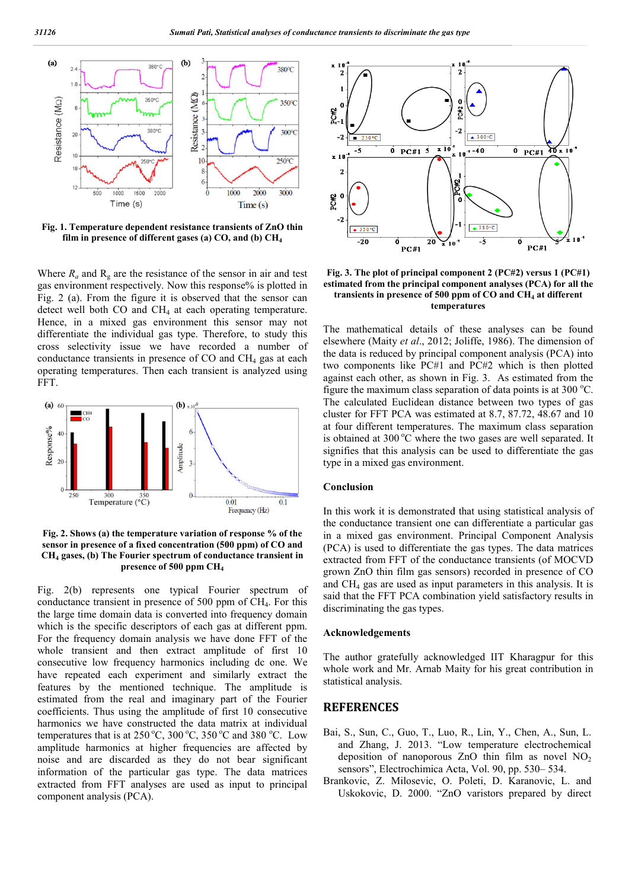

**Fig. 1. Temperature dependent resistance transients of ZnO thin film in presence of different gases (a) CO, and (b) CH CH4**

Where  $R_a$  and  $R_g$  are the resistance of the sensor in air and test Where  $R_a$  and  $R_g$  are the resistance of the sensor in air and test gas environment respectively. Now this response% is plotted in Fig. 2 (a). From the figure it is observed that the sensor can detect well both  $CO$  and  $CH<sub>4</sub>$  at each operating temperature. Hence, in a mixed gas environment this sensor may not differentiate the individual gas type. Therefore, to study this cross selectivity issue we have recorded a number of conductance transients in presence of  $CO$  and  $CH<sub>4</sub>$  gas at each operating temperatures. Then each transient is analyzed using FFT.



**Fig. 2. Shows (a) the temperature variation of response % of the sensor in presence of a fixed concentration (500 ppm) of CO and CH4 gases, (b) The Fourier spectrum of conductance transient in presence of 500 ppm CH4**

Fig. 2(b) represents one typical Fourier spectrum of conductance transient in presence of  $500$  ppm of  $CH<sub>4</sub>$ . For this the large time domain data is converted into frequency domain which is the specific descriptors of each gas at different ppm. For the frequency domain analysis we have done FFT of the whole transient and then extract amplitude of first 10 consecutive low frequency harmonics including dc one. We have repeated each experiment and similarly extract the features by the mentioned technique. The amplitude is estimated from the real and imaginary part of the Fourier coefficients. Thus using the amplitude of first 10 consecutive harmonics we have constructed the data matrix at individual temperatures that is at  $250^{\circ}$ C,  $300^{\circ}$ C,  $350^{\circ}$ C and  $380^{\circ}$ C. Low amplitude harmonics at higher frequencies are affected by noise and are discarded as they do not bear significant information of the particular gas type. The data matrices extracted from FFT analyses are used as input to principal component analysis (PCA).



Fig. 3. The plot of principal component 2 (PC#2) versus 1 (PC#1) **estimated from the principal component analyses (PCA) for all the**  transients in presence of 500 ppm of CO and CH<sub>4</sub> at different **temperatures mperatures**

The mathematical details of these analyses can be found The mathematical details of these analyses can be found elsewhere (Maity *et al.*, 2012; Joliffe, 1986). The dimension of the data is reduced by principal component analysis (PCA) into two components like PC#1 and PC#2 which is then plotted against each other, as shown in Fig. 3. As estimated from the figure the maximum class separation of data points is at  $300 \degree C$ . The calculated Euclidean distance between two types of gas The calculated Euclidean distance between two types of gas cluster for FFT PCA was estimated at 8.7, 87.72, 48.67 and 10 at four different temperatures. The maximum class separation is obtained at 300 °C where the two gases are well separated. It signifies that this analysis can be used to differentiate the gas type in a mixed gas environment. the data is reduced by principal component analysis (PCA) in two components like PC#1 and PC#2 which is then plott against each other, as shown in Fig. 3. As estimated from the figure the maximum class separation of data four different temperatures. The maximum class separation obtained at 300  $^{\circ}$ C where the two gases are well separated. It gnifies that this analysis can be used to differentiate the gas ppe in a mixed gas environment.

#### **Conclusion**

In this work it is demonstrated that using statistical analysis of the conductance transient one can differentiate a particular gas in a mixed gas environment. Principal Component Analysis (PCA) is used to differentiate the gas types. The data matrices extracted from FFT of the conductance transients (of MOCVD grown ZnO thin film gas sensors) recorded in presence of CO and  $CH<sub>4</sub>$  gas are used as input parameters in this analysis. It is said that the FFT PCA combination yield satisfactory results in discriminating the gas types. In this work it is demonstrated that using statistical analysi<br>the conductance transient one can differentiate a particular<br>in a mixed gas environment. Principal Component Anal<br>(PCA) is used to differentiate the gas types. film gas sensors) recorded in presence of CO<br>are used as input parameters in this analysis. It is<br>FFT PCA combination yield satisfactory results in<br>g the gas types.<br>**gements**<br>gratefully acknowledged IIT Kharagpur for this<br>

#### **Acknowledgements**

The author gratefully acknowledged IIT Kharagpur for this whole work and Mr. Arnab Maity for his great contribution in statistical analysis.

### **REFERENCES**

- Bai, S., Sun, C., Guo, T., Luo, R. Luo, R., Lin, Y., Chen, A., Sun, L. and Zhang, J. 2013. "Low temperature electrochemical and Zhang, J. 2013. "Low temperature electrochemical deposition of nanoporous ZnO thin film as novel  $NO<sub>2</sub>$ sensors", Electrochimica Acta, Vol. 90, pp. 530–534.
- Brankovic, Z. Milosevic, O. Poleti, D. Karanovic, L. and Uskokovic, D. 2000. "ZnO varistors prepared by direct